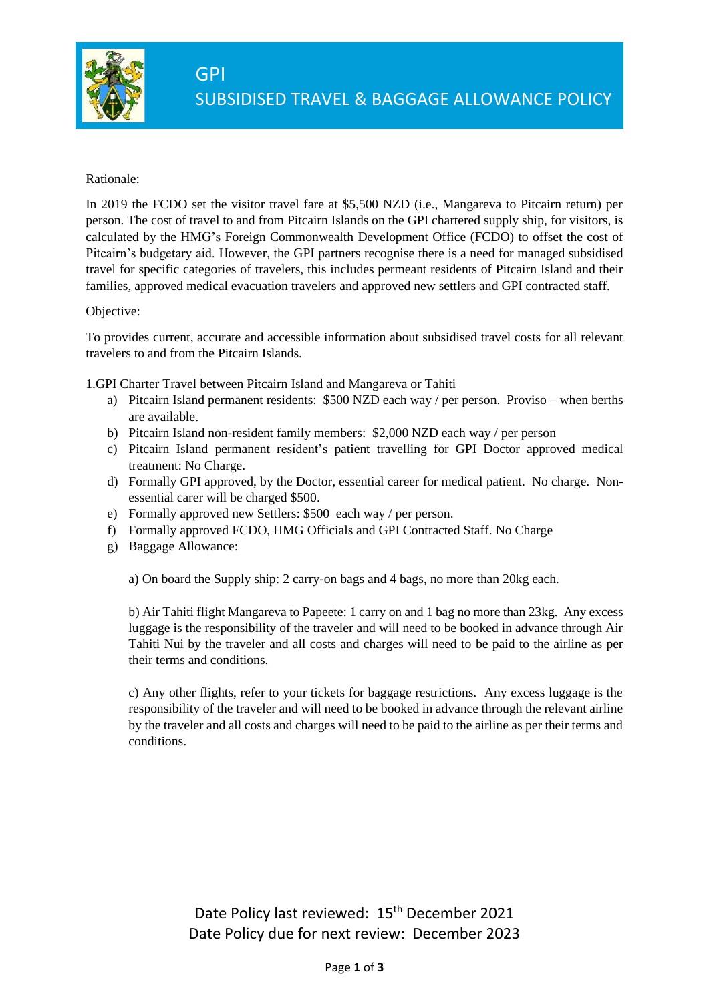

## Rationale:

In 2019 the FCDO set the visitor travel fare at \$5,500 NZD (i.e., Mangareva to Pitcairn return) per person. The cost of travel to and from Pitcairn Islands on the GPI chartered supply ship, for visitors, is calculated by the HMG's Foreign Commonwealth Development Office (FCDO) to offset the cost of Pitcairn's budgetary aid. However, the GPI partners recognise there is a need for managed subsidised travel for specific categories of travelers, this includes permeant residents of Pitcairn Island and their families, approved medical evacuation travelers and approved new settlers and GPI contracted staff.

## Objective:

To provides current, accurate and accessible information about subsidised travel costs for all relevant travelers to and from the Pitcairn Islands.

1.GPI Charter Travel between Pitcairn Island and Mangareva or Tahiti

- a) Pitcairn Island permanent residents: \$500 NZD each way / per person. Proviso when berths are available.
- b) Pitcairn Island non-resident family members: \$2,000 NZD each way / per person
- c) Pitcairn Island permanent resident's patient travelling for GPI Doctor approved medical treatment: No Charge.
- d) Formally GPI approved, by the Doctor, essential career for medical patient. No charge. Nonessential carer will be charged \$500.
- e) Formally approved new Settlers: \$500 each way / per person.
- f) Formally approved FCDO, HMG Officials and GPI Contracted Staff. No Charge
- g) Baggage Allowance:

a) On board the Supply ship: 2 carry-on bags and 4 bags, no more than 20kg each.

b) Air Tahiti flight Mangareva to Papeete: 1 carry on and 1 bag no more than 23kg. Any excess luggage is the responsibility of the traveler and will need to be booked in advance through Air Tahiti Nui by the traveler and all costs and charges will need to be paid to the airline as per their terms and conditions.

c) Any other flights, refer to your tickets for baggage restrictions. Any excess luggage is the responsibility of the traveler and will need to be booked in advance through the relevant airline by the traveler and all costs and charges will need to be paid to the airline as per their terms and conditions.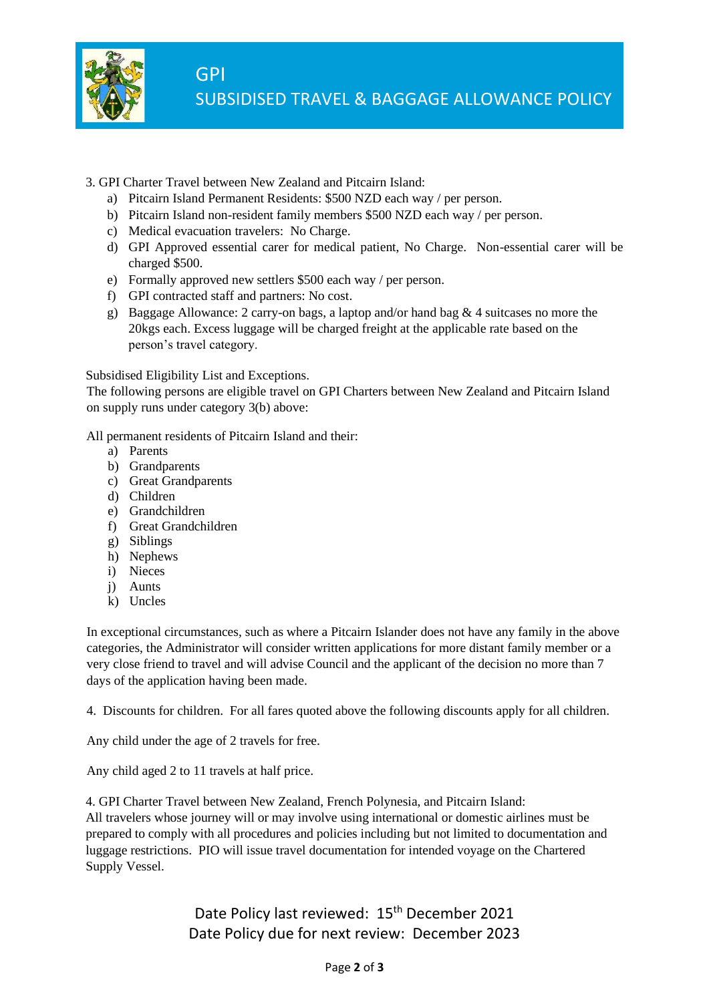

- 3. GPI Charter Travel between New Zealand and Pitcairn Island:
	- a) Pitcairn Island Permanent Residents: \$500 NZD each way / per person.
	- b) Pitcairn Island non-resident family members \$500 NZD each way / per person.
	- c) Medical evacuation travelers: No Charge.
	- d) GPI Approved essential carer for medical patient, No Charge. Non-essential carer will be charged \$500.
	- e) Formally approved new settlers \$500 each way / per person.
	- f) GPI contracted staff and partners: No cost.
	- g) Baggage Allowance: 2 carry-on bags, a laptop and/or hand bag & 4 suitcases no more the 20kgs each. Excess luggage will be charged freight at the applicable rate based on the person's travel category.

Subsidised Eligibility List and Exceptions.

The following persons are eligible travel on GPI Charters between New Zealand and Pitcairn Island on supply runs under category 3(b) above:

All permanent residents of Pitcairn Island and their:

- a) Parents
- b) Grandparents
- c) Great Grandparents
- d) Children
- e) Grandchildren
- f) Great Grandchildren
- g) Siblings
- h) Nephews
- i) Nieces
- j) Aunts
- k) Uncles

In exceptional circumstances, such as where a Pitcairn Islander does not have any family in the above categories, the Administrator will consider written applications for more distant family member or a very close friend to travel and will advise Council and the applicant of the decision no more than 7 days of the application having been made.

4. Discounts for children. For all fares quoted above the following discounts apply for all children.

Any child under the age of 2 travels for free.

Any child aged 2 to 11 travels at half price.

4. GPI Charter Travel between New Zealand, French Polynesia, and Pitcairn Island: All travelers whose journey will or may involve using international or domestic airlines must be prepared to comply with all procedures and policies including but not limited to documentation and luggage restrictions. PIO will issue travel documentation for intended voyage on the Chartered Supply Vessel.

> Date Policy last reviewed: 15<sup>th</sup> December 2021 Date Policy due for next review: December 2023